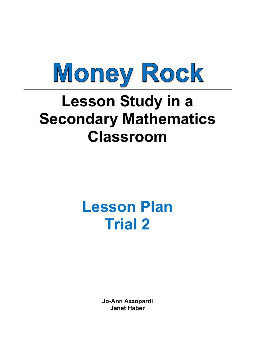

## **Lesson Study in a Secondary Mathematics Classroom**

## **Lesson Plan Trial 2**

**Jo-Ann Azzopardi Janet Haber**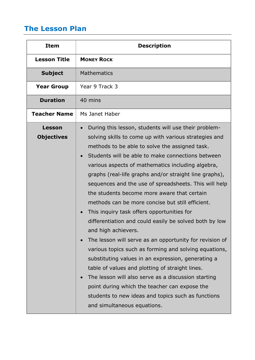## **The Lesson Plan**

| <b>Item</b>                        | <b>Description</b>                                                                                                                                                                                                                                                                                                                                                                                                                                                                                                                                                                                                                                                                                                                                                                                                                                                                                                                                                                                                                                                   |
|------------------------------------|----------------------------------------------------------------------------------------------------------------------------------------------------------------------------------------------------------------------------------------------------------------------------------------------------------------------------------------------------------------------------------------------------------------------------------------------------------------------------------------------------------------------------------------------------------------------------------------------------------------------------------------------------------------------------------------------------------------------------------------------------------------------------------------------------------------------------------------------------------------------------------------------------------------------------------------------------------------------------------------------------------------------------------------------------------------------|
| <b>Lesson Title</b>                | <b>MONEY ROCK</b>                                                                                                                                                                                                                                                                                                                                                                                                                                                                                                                                                                                                                                                                                                                                                                                                                                                                                                                                                                                                                                                    |
| <b>Subject</b>                     | <b>Mathematics</b>                                                                                                                                                                                                                                                                                                                                                                                                                                                                                                                                                                                                                                                                                                                                                                                                                                                                                                                                                                                                                                                   |
| <b>Year Group</b>                  | Year 9 Track 3                                                                                                                                                                                                                                                                                                                                                                                                                                                                                                                                                                                                                                                                                                                                                                                                                                                                                                                                                                                                                                                       |
| <b>Duration</b>                    | 40 mins                                                                                                                                                                                                                                                                                                                                                                                                                                                                                                                                                                                                                                                                                                                                                                                                                                                                                                                                                                                                                                                              |
| <b>Teacher Name</b>                | Ms Janet Haber                                                                                                                                                                                                                                                                                                                                                                                                                                                                                                                                                                                                                                                                                                                                                                                                                                                                                                                                                                                                                                                       |
| <b>Lesson</b><br><b>Objectives</b> | During this lesson, students will use their problem-<br>$\bullet$<br>solving skills to come up with various strategies and<br>methods to be able to solve the assigned task.<br>Students will be able to make connections between<br>various aspects of mathematics including algebra,<br>graphs (real-life graphs and/or straight line graphs),<br>sequences and the use of spreadsheets. This will help<br>the students become more aware that certain<br>methods can be more concise but still efficient.<br>This inquiry task offers opportunities for<br>differentiation and could easily be solved both by low<br>and high achievers<br>The lesson will serve as an opportunity for revision of<br>various topics such as forming and solving equations,<br>substituting values in an expression, generating a<br>table of values and plotting of straight lines.<br>The lesson will also serve as a discussion starting<br>point during which the teacher can expose the<br>students to new ideas and topics such as functions<br>and simultaneous equations. |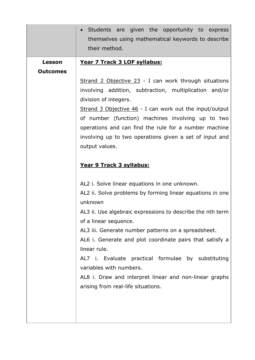|                           | Students are given the opportunity to express<br>themselves using mathematical keywords to describe<br>their method.                                                                                                                                                                                                                                                                                                                                                                                                                                         |
|---------------------------|--------------------------------------------------------------------------------------------------------------------------------------------------------------------------------------------------------------------------------------------------------------------------------------------------------------------------------------------------------------------------------------------------------------------------------------------------------------------------------------------------------------------------------------------------------------|
| Lesson<br><b>Outcomes</b> | Year 7 Track 3 LOF syllabus:<br>Strand 2 Objective 23 - I can work through situations<br>involving addition, subtraction, multiplication and/or<br>division of integers.<br>Strand 3 Objective 46 - I can work out the input/output<br>of number (function) machines involving up to two<br>operations and can find the rule for a number machine<br>involving up to two operations given a set of input and<br>output values.                                                                                                                               |
|                           | Year 9 Track 3 syllabus:<br>AL2 i. Solve linear equations in one unknown.<br>AL2 ii. Solve problems by forming linear equations in one<br>unknown<br>AL3 ii. Use algebraic expressions to describe the nth term<br>of a linear sequence.<br>AL3 iii. Generate number patterns on a spreadsheet.<br>AL6 i. Generate and plot coordinate pairs that satisfy a<br>linear rule.<br>AL7 i. Evaluate practical formulae by substituting<br>variables with numbers.<br>AL8 i. Draw and interpret linear and non-linear graphs<br>arising from real-life situations. |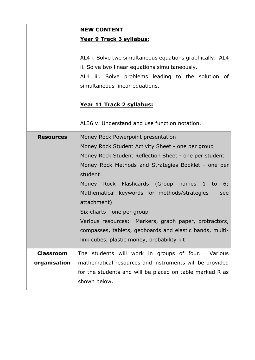|                                  | <b>NEW CONTENT</b><br>Year 9 Track 3 syllabus:                                                                                                                                                                                                                                                                                                                                                                                                                                                                                           |
|----------------------------------|------------------------------------------------------------------------------------------------------------------------------------------------------------------------------------------------------------------------------------------------------------------------------------------------------------------------------------------------------------------------------------------------------------------------------------------------------------------------------------------------------------------------------------------|
|                                  | AL4 i. Solve two simultaneous equations graphically. AL4<br>ii. Solve two linear equations simultaneously.<br>AL4 iii. Solve problems leading to the solution of<br>simultaneous linear equations.                                                                                                                                                                                                                                                                                                                                       |
|                                  | Year 11 Track 2 syllabus:                                                                                                                                                                                                                                                                                                                                                                                                                                                                                                                |
|                                  | AL36 v. Understand and use function notation.                                                                                                                                                                                                                                                                                                                                                                                                                                                                                            |
| <b>Resources</b>                 | Money Rock Powerpoint presentation<br>Money Rock Student Activity Sheet - one per group<br>Money Rock Student Reflection Sheet - one per student<br>Money Rock Methods and Strategies Booklet - one per<br>student<br>Money Rock Flashcards (Group names 1 to<br>6;<br>Mathematical keywords for methods/strategies - see<br>attachment)<br>Six charts - one per group<br>Various resources: Markers, graph paper, protractors,<br>compasses, tablets, geoboards and elastic bands, multi-<br>link cubes, plastic money, probability kit |
| <b>Classroom</b><br>organisation | The students will work in groups of four.<br>Various<br>mathematical resources and instruments will be provided<br>for the students and will be placed on table marked R as<br>shown below.                                                                                                                                                                                                                                                                                                                                              |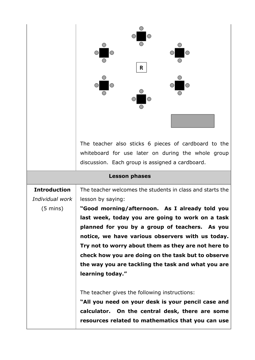|                                                              | R<br>The teacher also sticks 6 pieces of cardboard to the<br>whiteboard for use later on during the whole group<br>discussion. Each group is assigned a cardboard.                                                                                                                                                                                                                                                                                                                                                                                                                                                                                                                               |
|--------------------------------------------------------------|--------------------------------------------------------------------------------------------------------------------------------------------------------------------------------------------------------------------------------------------------------------------------------------------------------------------------------------------------------------------------------------------------------------------------------------------------------------------------------------------------------------------------------------------------------------------------------------------------------------------------------------------------------------------------------------------------|
| <b>Lesson phases</b>                                         |                                                                                                                                                                                                                                                                                                                                                                                                                                                                                                                                                                                                                                                                                                  |
| <b>Introduction</b><br>Individual work<br>$(5 \text{ mins})$ | The teacher welcomes the students in class and starts the<br>lesson by saying:<br>"Good morning/afternoon. As I already told you<br>last week, today you are going to work on a task<br>planned for you by a group of teachers. As you<br>notice, we have various observers with us today.<br>Try not to worry about them as they are not here to<br>check how you are doing on the task but to observe<br>the way you are tackling the task and what you are<br>learning today."<br>The teacher gives the following instructions:<br>"All you need on your desk is your pencil case and<br>calculator. On the central desk, there are some<br>resources related to mathematics that you can use |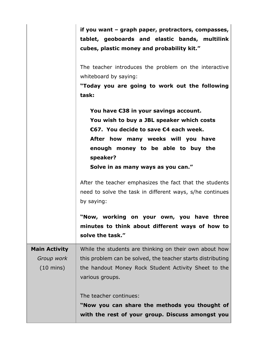|                                   | if you want - graph paper, protractors, compasses,<br>tablet, geoboards and elastic bands, multilink<br>cubes, plastic money and probability kit." |
|-----------------------------------|----------------------------------------------------------------------------------------------------------------------------------------------------|
|                                   | The teacher introduces the problem on the interactive<br>whiteboard by saying:<br>"Today you are going to work out the following                   |
|                                   | task:<br>You have €38 in your savings account.                                                                                                     |
|                                   | You wish to buy a JBL speaker which costs<br>€67. You decide to save €4 each week.                                                                 |
|                                   | After how many weeks will you have                                                                                                                 |
|                                   | enough money to be able to buy the                                                                                                                 |
|                                   | speaker?<br>Solve in as many ways as you can."                                                                                                     |
|                                   | After the teacher emphasizes the fact that the students<br>need to solve the task in different ways, s/he continues<br>by saying:                  |
|                                   | "Now, working on your own, you have three<br>minutes to think about different ways of how to<br>solve the task."                                   |
| <b>Main Activity</b>              | While the students are thinking on their own about how                                                                                             |
| Group work<br>$(10 \text{ mins})$ | this problem can be solved, the teacher starts distributing<br>the handout Money Rock Student Activity Sheet to the<br>various groups.             |
|                                   |                                                                                                                                                    |
|                                   | The teacher continues:                                                                                                                             |
|                                   | "Now you can share the methods you thought of<br>with the rest of your group. Discuss amongst you                                                  |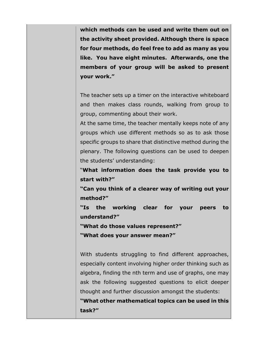**which methods can be used and write them out on the activity sheet provided. Although there is space for four methods, do feel free to add as many as you like. You have eight minutes. Afterwards, one the members of your group will be asked to present your work."**

The teacher sets up a timer on the interactive whiteboard and then makes class rounds, walking from group to group, commenting about their work.

At the same time, the teacher mentally keeps note of any groups which use different methods so as to ask those specific groups to share that distinctive method during the plenary. The following questions can be used to deepen the students' understanding:

"**What information does the task provide you to start with?"**

**"Can you think of a clearer way of writing out your method?"**

**"Is the working clear for your peers to understand?"**

**"What do those values represent?"**

**"What does your answer mean?"**

With students struggling to find different approaches, especially content involving higher order thinking such as algebra, finding the nth term and use of graphs, one may ask the following suggested questions to elicit deeper thought and further discussion amongst the students:

**"What other mathematical topics can be used in this task?"**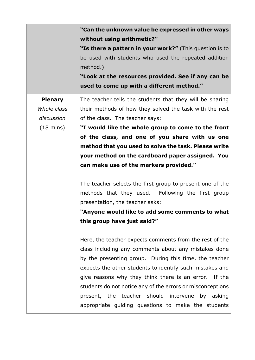|                     | "Can the unknown value be expressed in other ways<br>without using arithmetic?"                                             |
|---------------------|-----------------------------------------------------------------------------------------------------------------------------|
|                     | "Is there a pattern in your work?" (This question is to<br>be used with students who used the repeated addition<br>method.) |
|                     | "Look at the resources provided. See if any can be<br>used to come up with a different method."                             |
| <b>Plenary</b>      | The teacher tells the students that they will be sharing                                                                    |
| Whole class         | their methods of how they solved the task with the rest                                                                     |
| discussion          | of the class. The teacher says:                                                                                             |
| $(18 \text{ mins})$ | "I would like the whole group to come to the front                                                                          |
|                     | of the class, and one of you share with us one                                                                              |
|                     | method that you used to solve the task. Please write                                                                        |
|                     | your method on the cardboard paper assigned. You                                                                            |
|                     | can make use of the markers provided."                                                                                      |
|                     | The teacher selects the first group to present one of the                                                                   |
|                     | methods that they used. Following the first group                                                                           |
|                     | presentation, the teacher asks:                                                                                             |
|                     | "Anyone would like to add some comments to what                                                                             |
|                     | this group have just said?"                                                                                                 |
|                     | Here, the teacher expects comments from the rest of the                                                                     |
|                     | class including any comments about any mistakes done                                                                        |
|                     | by the presenting group. During this time, the teacher                                                                      |
|                     | expects the other students to identify such mistakes and                                                                    |
|                     | give reasons why they think there is an error. If the                                                                       |
|                     | students do not notice any of the errors or misconceptions                                                                  |
|                     | present, the teacher should intervene by asking                                                                             |
|                     | appropriate guiding questions to make the students                                                                          |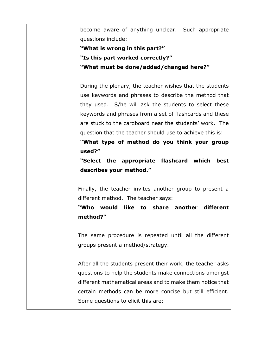become aware of anything unclear. Such appropriate questions include:

**"What is wrong in this part?" "Is this part worked correctly?" "What must be done/added/changed here?"**

During the plenary, the teacher wishes that the students use keywords and phrases to describe the method that they used. S/he will ask the students to select these keywords and phrases from a set of flashcards and these are stuck to the cardboard near the students' work. The question that the teacher should use to achieve this is:

**"What type of method do you think your group used?"** 

**"Select the appropriate flashcard which best describes your method."**

Finally, the teacher invites another group to present a different method. The teacher says:

**"Who would like to share another different method?"** 

The same procedure is repeated until all the different groups present a method/strategy.

After all the students present their work, the teacher asks questions to help the students make connections amongst different mathematical areas and to make them notice that certain methods can be more concise but still efficient. Some questions to elicit this are: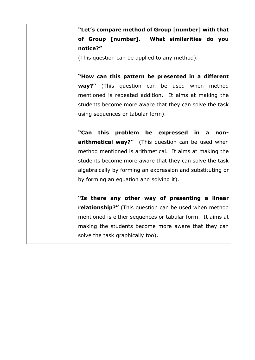**"Let's compare method of Group [number] with that of Group [number]. What similarities do you notice?"**

(This question can be applied to any method).

**"How can this pattern be presented in a different way?"** (This question can be used when method mentioned is repeated addition. It aims at making the students become more aware that they can solve the task using sequences or tabular form).

**"Can this problem be expressed in a nonarithmetical way?"** (This question can be used when method mentioned is arithmetical. It aims at making the students become more aware that they can solve the task algebraically by forming an expression and substituting or by forming an equation and solving it).

**"Is there any other way of presenting a linear relationship?"** (This question can be used when method mentioned is either sequences or tabular form. It aims at making the students become more aware that they can solve the task graphically too).